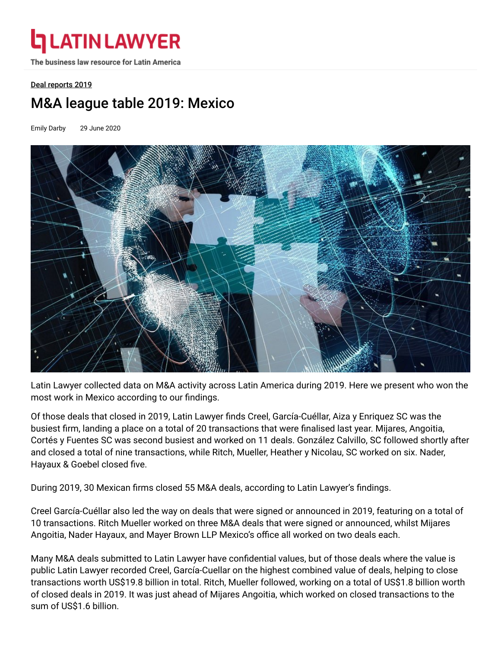# **ATIN LAWYER**

The business law resource for Latin America

#### [Deal reports 2019](https://latinlawyer.com/edition/1001344/deal-reports-2019)

# M&A league table 2019: Mexico

Emily Darby 29 June 2020



Latin Lawyer collected data on M&A activity across Latin America during 2019. Here we present who won the most work in Mexico according to our findings.

Of those deals that closed in 2019, Latin Lawyer finds [Creel, García-Cuéllar, Aiza y Enriquez SC](https://latinlawyer.com/ll250/firms/1218143/creel-garcia-cuellar-aiza-y-enriquez-sc) was the busiest firm, landing a place on a total of 20 transactions that were finalised last year. Mijares, Angoitia, [Cortés y Fuentes SC was second busiest and worked on 11 deals. González Calvillo, SC followed shortly](https://latinlawyer.com/ll250/firms/1219323/mijares-angoitia-cortes-y-fuentes-sc) after [and closed a total of nine transactions, while R](https://latinlawyer.com/ll250/firms/1217618/nader-hayaux-goebel)[itch, Mueller, Heather y Nicolau, SC](https://latinlawyer.com/ll250/firms/1221930/ritch-mueller-heather-y-nicolau-sc) [worked on six. Nader,](https://latinlawyer.com/ll250/firms/1217618/nader-hayaux-goebel) Hayaux & Goebel closed five.

During 2019, 30 Mexican firms closed 55 M&A deals, according to Latin Lawyer's findings.

Creel García-Cuéllar also led the way on deals that were signed or announced in 2019, featuring on a total of 10 transactions. Ritch Mueller worked on three M&A deals that were signed or announced, whilst Mijares Angoitia, Nader Hayaux, and Mayer Brown LLP Mexico's office all worked on two deals each.

Many M&A deals submitted to Latin Lawyer have confidential values, but of those deals where the value is public Latin Lawyer recorded Creel, García-Cuellar on the highest combined value of deals, helping to close transactions worth US\$19.8 billion in total. Ritch, Mueller followed, working on a total of US\$1.8 billion worth of closed deals in 2019. It was just ahead of Mijares Angoitia, which worked on closed transactions to the sum of US\$1.6 billion.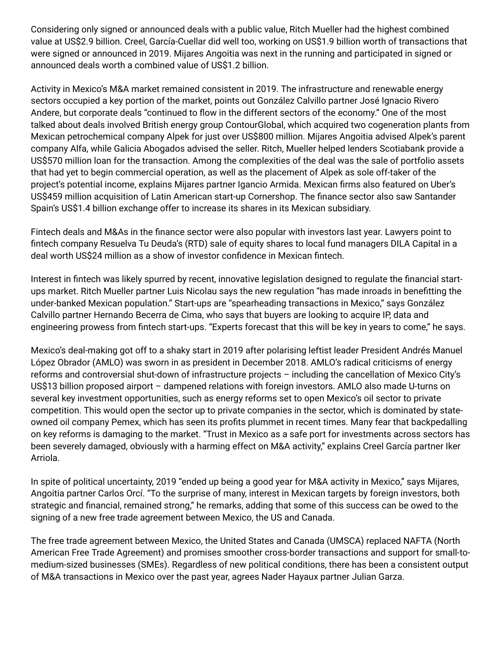Considering only signed or announced deals with a public value, Ritch Mueller had the highest combined value at US\$2.9 billion. Creel, García-Cuellar did well too, working on US\$1.9 billion worth of transactions that were signed or announced in 2019. Mijares Angoitia was next in the running and participated in signed or announced deals worth a combined value of US\$1.2 billion.

Activity in Mexico's M&A market remained consistent in 2019. The infrastructure and renewable energy sectors occupied a key portion of the market, points out González Calvillo partner José Ignacio Rivero Andere, but corporate deals "continued to flow in the different sectors of the economy." One of the most talked about deals involved British energy group ContourGlobal, which [acquired](https://latinlawyer.com/article/1212536/british-energy-group-enters-mexican-renewables-market) two cogeneration plants from Mexican petrochemical company Alpek for just over US\$800 million. Mijares Angoitia advised Alpek's parent company Alfa, while [Galicia Abogados](https://latinlawyer.com/ll250/firms/1220832/galicia-abogados) advised the seller. Ritch, Mueller helped lenders Scotiabank provide a US\$570 million loan for the transaction. Among the complexities of the deal was the sale of portfolio assets that had yet to begin commercial operation, as well as the placement of Alpek as sole off-taker of the project's potential income, explains Mijares partner Igancio Armida. Mexican firms also [featured](https://latinlawyer.com/article/1210321/uber-bags-cornershop-deal) on Uber's US\$459 million acquisition of Latin American start-up Cornershop. The finance sector also saw Santander Spain's US\$1.4 billion exchange offer to [increase](https://latinlawyer.com/article/1209374/santander-ups-stake-in-mexican-subsidiary-for-ususd14-billion) its shares in its Mexican subsidiary.

Fintech deals and M&As in the finance sector were also popular with investors last year. Lawyers point to fintech company Resuelva Tu Deuda's (RTD) [sale](https://latinlawyer.com/article/1214543/mexican-fintech-gets-equity-investment-and-loan) of equity shares to local fund managers DILA Capital in a deal worth US\$24 million as a show of investor confidence in Mexican fintech.

Interest in fintech was likely spurred by recent, innovative legislation designed to regulate the financial startups market. Ritch Mueller partner Luis Nicolau says the new regulation "has made inroads in benetting the under-banked Mexican population." Start-ups are "spearheading transactions in Mexico," says González Calvillo partner Hernando Becerra de Cima, who says that buyers are looking to acquire IP, data and engineering prowess from fintech start-ups. "Experts forecast that this will be key in years to come," he says.

Mexico's deal-making got off to a shaky start in 2019 after polarising leftist leader President Andrés Manuel López Obrador (AMLO) was sworn in as president in December 2018. AMLO's radical criticisms of energy reforms and controversial shut-down of infrastructure projects – including the cancellation of Mexico City's US\$13 billion proposed airport – dampened relations with foreign investors. AMLO also made U-turns on several key investment opportunities, such as energy reforms set to open Mexico's oil sector to private competition. This would open the sector up to private companies in the sector, which is dominated by stateowned oil company Pemex, which has seen its profits [plummet](https://latinlawyer.com/article/1227071/as-the-world-%E2%80%9Cdrowns-in-oil-%E2%80%9D-it%E2%80%99s-fight-or-flight-for-mexico%E2%80%99s-oil-sector) in recent times. Many fear that backpedalling on key reforms is damaging to the market. "Trust in Mexico as a safe port for investments across sectors has been severely damaged, obviously with a harming effect on M&A activity," explains Creel García partner Iker Arriola.

In spite of political uncertainty, 2019 "ended up being a good year for M&A activity in Mexico," says Mijares, Angoitia partner Carlos Orcí. "To the surprise of many, interest in Mexican targets by foreign investors, both strategic and financial, remained strong," he remarks, adding that some of this success can be owed to the signing of a new free trade agreement between Mexico, the US and Canada.

The free trade agreement between Mexico, the United States and Canada (UMSCA) replaced NAFTA (North American Free Trade Agreement) and promises smoother cross-border transactions and support for small-tomedium-sized businesses (SMEs). Regardless of new political conditions, there has been a consistent output of M&A transactions in Mexico over the past year, agrees Nader Hayaux partner Julian Garza.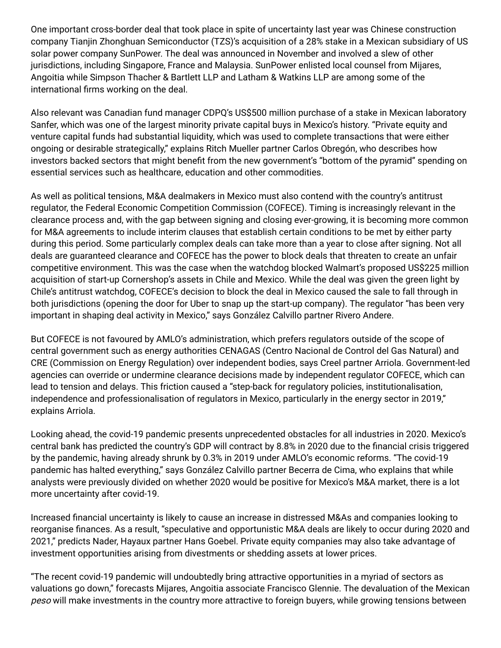One important cross-border deal that took place in spite of uncertainty last year was Chinese construction company Tianjin Zhonghuan Semiconductor (TZS)'s acquisition of a 28% stake in a Mexican subsidiary of US solar power company SunPower. The deal was [announced](https://latinlawyer.com/article/1213206/mijares-in-mexican-leg-of-asia-us-power-company-investment) in November and involved a slew of other jurisdictions, including Singapore, France and Malaysia. SunPower enlisted local counsel from Mijares, Angoitia while Simpson Thacher & Bartlett LLP and Latham & Watkins LLP are among some of the international firms working on the deal.

Also relevant was Canadian fund manager CDPQ's US\$500 million [purchase](https://latinlawyer.com/article/1198085/cdpq-invests-in-mexican-diagnostics-company) of a stake in Mexican laboratory Sanfer, which was one of the largest minority private capital buys in Mexico's history. "Private equity and venture capital funds had substantial liquidity, which was used to complete transactions that were either ongoing or desirable strategically," explains Ritch Mueller partner Carlos Obregón, who describes how investors backed sectors that might benefit from the new government's "bottom of the pyramid" spending on essential services such as healthcare, education and other commodities.

As well as political tensions, M&A dealmakers in Mexico must also contend with the country's antitrust regulator, the Federal Economic Competition Commission (COFECE). Timing is increasingly relevant in the clearance process and, with the gap between signing and closing ever-growing, it is becoming more common for M&A agreements to include interim clauses that establish certain conditions to be met by either party during this period. Some particularly complex deals can take more than a year to close after signing. Not all deals are guaranteed clearance and COFECE has the power to block deals that threaten to create an unfair competitive environment. This was the case when the watchdog [blocked](https://latinlawyer.com/article/1193840/mexicos-antitrust-regulator-blocks-walmart-cornershop-deal) Walmart's proposed US\$225 million acquisition of start-up Cornershop's assets in Chile and Mexico. While the deal was given the green light by Chile's antitrust watchdog, COFECE's decision to block the deal in Mexico caused the sale to fall through in both jurisdictions (opening the door for Uber to snap up the start-up company). The regulator "has been very important in shaping deal activity in Mexico," says González Calvillo partner Rivero Andere.

But COFECE is not favoured by AMLO's administration, which prefers regulators outside of the scope of central government such as energy authorities CENAGAS (Centro Nacional de Control del Gas Natural) and CRE (Commission on Energy Regulation) over independent bodies, says Creel partner Arriola. Government-led agencies can override or undermine clearance decisions made by independent regulator COFECE, which can lead to tension and delays. This friction caused a "step-back for regulatory policies, institutionalisation, independence and professionalisation of regulators in Mexico, particularly in the energy sector in 2019," explains Arriola.

Looking ahead, the covid-19 pandemic presents unprecedented obstacles for all industries in 2020. Mexico's central bank has predicted the country's GDP will contract by 8.8% in 2020 due to the financial crisis triggered by the pandemic, having already shrunk by 0.3% in 2019 under AMLO's economic reforms. "The covid-19 pandemic has halted everything," says González Calvillo partner Becerra de Cima, who explains that while analysts were previously divided on whether 2020 would be positive for Mexico's M&A market, there is a lot more uncertainty after covid-19.

Increased financial uncertainty is likely to cause an increase in distressed M&As and companies looking to reorganise finances. As a result, "speculative and opportunistic M&A deals are likely to occur during 2020 and 2021," predicts Nader, Hayaux partner Hans Goebel. Private equity companies may also take advantage of investment opportunities arising from divestments or shedding assets at lower prices.

"The recent covid-19 pandemic will undoubtedly bring attractive opportunities in a myriad of sectors as valuations go down," forecasts Mijares, Angoitia associate Francisco Glennie. The devaluation of the Mexican peso will make investments in the country more attractive to foreign buyers, while growing tensions between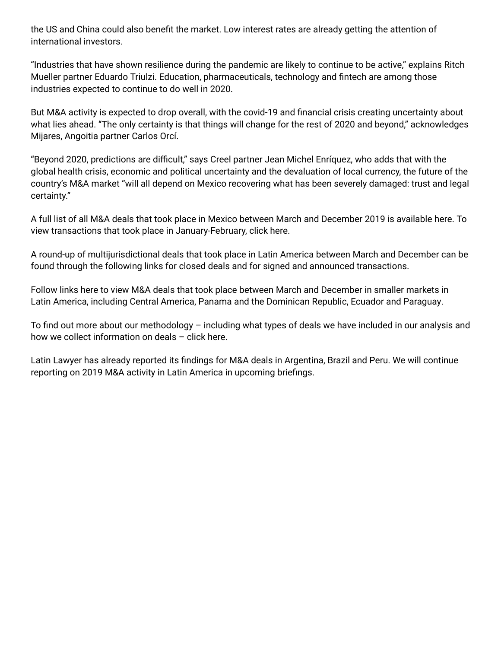the US and China could also benefit the market. Low interest rates are already getting the attention of international investors.

"Industries that have shown resilience during the pandemic are likely to continue to be active," explains Ritch Mueller partner Eduardo Triulzi. Education, pharmaceuticals, technology and fintech are among those industries expected to continue to do well in 2020.

But M&A activity is expected to drop overall, with the covid-19 and financial crisis creating uncertainty about what lies ahead. "The only certainty is that things will change for the rest of 2020 and beyond," acknowledges Mijares, Angoitia partner Carlos Orcí.

"Beyond 2020, predictions are difficult," says Creel partner Jean Michel Enríquez, who adds that with the global health crisis, economic and political uncertainty and the devaluation of local currency, the future of the country's M&A market "will all depend on Mexico recovering what has been severely damaged: trust and legal certainty."

A full list of all M&A deals that took place in Mexico between March and December 2019 is available [here](https://latinlawyer.com/article/1228244/m-a-deals-in-mexico-march-december-2019). To view transactions that took place in January-February, click [here](https://latinlawyer.com/article/1193324/m-a-report-spanish-speaking-latam-january-february-2019).

A round-up of multijurisdictional deals that took place in Latin America between March and December can be found through the following links for [closed](https://latinlawyer.com/article/1227894/closed-m-a-deals-multijurisdictional-march-december) deals and for [signed and announced](https://latinlawyer.com/article/1227899/signed-and-announced-m-a-deals-multijurisdictional-march-december) transactions.

Follow links here to view M&A deals that took place between March and December in smaller markets in Latin America, including [Central America, Panama and the Dominican Republic,](https://latinlawyer.com/benchmarking/deal-reports-2019/1228088/m-a-deals-in-central-america-panama-and-the-dominican-republic-march-december-2019) [Ecuador](https://latinlawyer.com/benchmarking/deal-reports-2019/1228089/m-a-deals-in-ecuador-march-december-2019) and [Paraguay](https://latinlawyer.com/benchmarking/deal-reports-2019/1228091/m-a-deals-in-paraguay-march-december-2019).

To find out more about our methodology  $-$  including what types of deals we have included in our analysis and how we collect information on deals – click [here.](https://latinlawyer.com/article/1226735/latin-lawyer-transactional-league-tables-methodology)

Latin Lawyer has already reported its findings for M&A deals in [Argentina,](https://latinlawyer.com/article/1228105/m-a-league-table-2019-argentina) [Brazil](https://latinlawyer.com/benchmarking/deal-reports-2019/1227905/m-a-league-table-2019-brazil) and [Peru.](https://latinlawyer.com/article/1228137/m-a-league-table-2019-peru) We will continue reporting on 2019 M&A activity in Latin America in upcoming briefings.